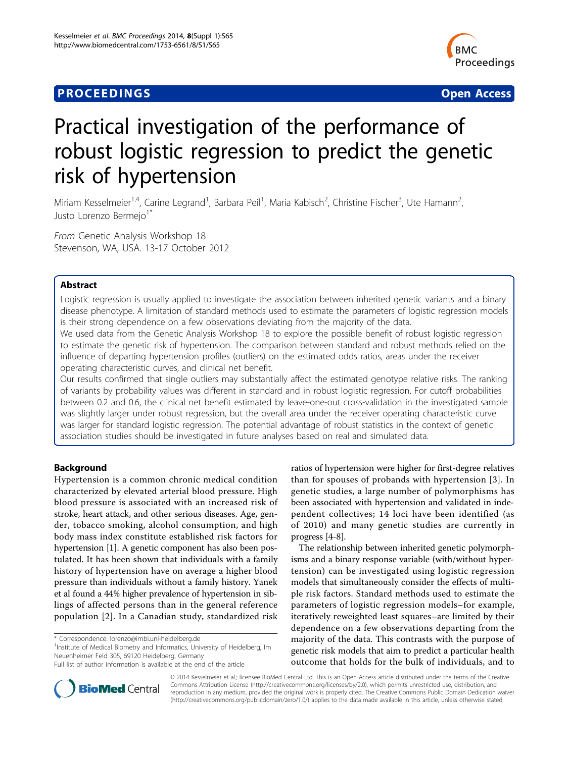## **PROCEEDINGS CONSUMING S** Open Access **CONSUMING S**



# Practical investigation of the performance of robust logistic regression to predict the genetic risk of hypertension

Miriam Kesselmeier<sup>1,4</sup>, Carine Legrand<sup>1</sup>, Barbara Peil<sup>1</sup>, Maria Kabisch<sup>2</sup>, Christine Fischer<sup>3</sup>, Ute Hamann<sup>2</sup> , Justo Lorenzo Bermejo<sup>1\*</sup>

From Genetic Analysis Workshop 18 Stevenson, WA, USA. 13-17 October 2012

### Abstract

Logistic regression is usually applied to investigate the association between inherited genetic variants and a binary disease phenotype. A limitation of standard methods used to estimate the parameters of logistic regression models is their strong dependence on a few observations deviating from the majority of the data.

We used data from the Genetic Analysis Workshop 18 to explore the possible benefit of robust logistic regression to estimate the genetic risk of hypertension. The comparison between standard and robust methods relied on the influence of departing hypertension profiles (outliers) on the estimated odds ratios, areas under the receiver operating characteristic curves, and clinical net benefit.

Our results confirmed that single outliers may substantially affect the estimated genotype relative risks. The ranking of variants by probability values was different in standard and in robust logistic regression. For cutoff probabilities between 0.2 and 0.6, the clinical net benefit estimated by leave-one-out cross-validation in the investigated sample was slightly larger under robust regression, but the overall area under the receiver operating characteristic curve was larger for standard logistic regression. The potential advantage of robust statistics in the context of genetic association studies should be investigated in future analyses based on real and simulated data.

#### Background

Hypertension is a common chronic medical condition characterized by elevated arterial blood pressure. High blood pressure is associated with an increased risk of stroke, heart attack, and other serious diseases. Age, gender, tobacco smoking, alcohol consumption, and high body mass index constitute established risk factors for hypertension [[1](#page-5-0)]. A genetic component has also been postulated. It has been shown that individuals with a family history of hypertension have on average a higher blood pressure than individuals without a family history. Yanek et al found a 44% higher prevalence of hypertension in siblings of affected persons than in the general reference population [[2](#page-5-0)]. In a Canadian study, standardized risk

<sup>1</sup>Institute of Medical Biometry and Informatics, University of Heidelberg, Im Neuenheimer Feld 305, 69120 Heidelberg, Germany

ratios of hypertension were higher for first-degree relatives than for spouses of probands with hypertension [[3\]](#page-5-0). In genetic studies, a large number of polymorphisms has been associated with hypertension and validated in independent collectives; 14 loci have been identified (as of 2010) and many genetic studies are currently in progress [[4-8\]](#page-5-0).

The relationship between inherited genetic polymorphisms and a binary response variable (with/without hypertension) can be investigated using logistic regression models that simultaneously consider the effects of multiple risk factors. Standard methods used to estimate the parameters of logistic regression models–for example, iteratively reweighted least squares–are limited by their dependence on a few observations departing from the majority of the data. This contrasts with the purpose of genetic risk models that aim to predict a particular health outcome that holds for the bulk of individuals, and to



© 2014 Kesselmeier et al.; licensee BioMed Central Ltd. This is an Open Access article distributed under the terms of the Creative Commons Attribution License [\(http://creativecommons.org/licenses/by/2.0](http://creativecommons.org/licenses/by/2.0)), which permits unrestricted use, distribution, and reproduction in any medium, provided the original work is properly cited. The Creative Commons Public Domain Dedication waiver [\(http://creativecommons.org/publicdomain/zero/1.0/](http://creativecommons.org/publicdomain/zero/1.0/)) applies to the data made available in this article, unless otherwise stated.

<sup>\*</sup> Correspondence: [lorenzo@imbi.uni-heidelberg.de](mailto:lorenzo@imbi.uni-heidelberg.de)

Full list of author information is available at the end of the article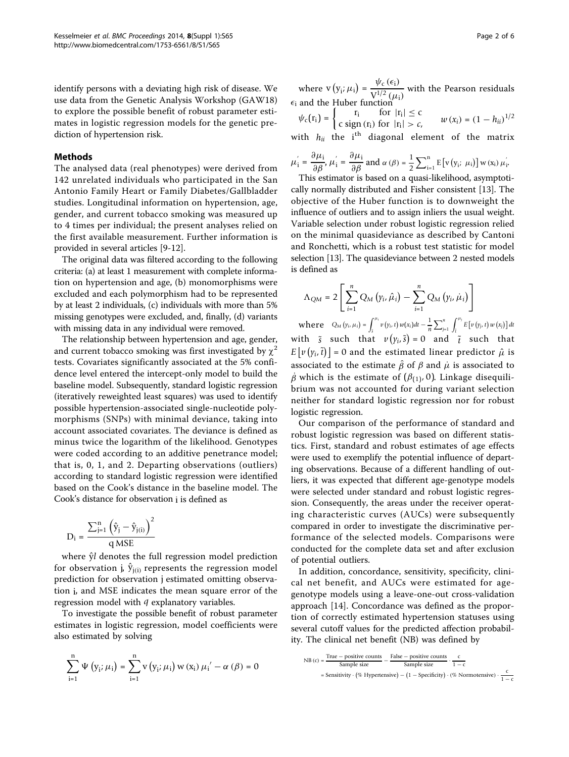identify persons with a deviating high risk of disease. We use data from the Genetic Analysis Workshop (GAW18) to explore the possible benefit of robust parameter estimates in logistic regression models for the genetic prediction of hypertension risk.

#### Methods

The analysed data (real phenotypes) were derived from 142 unrelated individuals who participated in the San Antonio Family Heart or Family Diabetes/Gallbladder studies. Longitudinal information on hypertension, age, gender, and current tobacco smoking was measured up to 4 times per individual; the present analyses relied on the first available measurement. Further information is provided in several articles [[9-12\]](#page-5-0).

The original data was filtered according to the following criteria: (a) at least 1 measurement with complete information on hypertension and age, (b) monomorphisms were excluded and each polymorphism had to be represented by at least 2 individuals, (c) individuals with more than 5% missing genotypes were excluded, and, finally, (d) variants with missing data in any individual were removed.

The relationship between hypertension and age, gender, and current tobacco smoking was first investigated by  $\chi^2$ tests. Covariates significantly associated at the 5% confidence level entered the intercept-only model to build the baseline model. Subsequently, standard logistic regression (iteratively reweighted least squares) was used to identify possible hypertension-associated single-nucleotide polymorphisms (SNPs) with minimal deviance, taking into account associated covariates. The deviance is defined as minus twice the logarithm of the likelihood. Genotypes were coded according to an additive penetrance model; that is, 0, 1, and 2. Departing observations (outliers) according to standard logistic regression were identified based on the Cook's distance in the baseline model. The Cook's distance for observation i is defined as

$$
D_i = \frac{\sum_{j=1}^{n} (\hat{y}_j - \hat{y}_{j(i)})^2}{q \text{ MSE}}
$$

where  $\hat{y}$ *l* denotes the full regression model prediction for observation j,  $\hat{y}_{j(i)}$  represents the regression model prediction for observation j estimated omitting observation i, and MSE indicates the mean square error of the regression model with *q* explanatory variables.

To investigate the possible benefit of robust parameter estimates in logistic regression, model coefficients were also estimated by solving

$$
\sum_{i=1}^{n} \Psi\left(y_{i}; \mu_{i}\right) = \sum_{i=1}^{n} v\left(y_{i}; \mu_{i}\right) w\left(x_{i}\right) \mu_{i}' - \alpha\left(\beta\right) = 0
$$

where  $v(y_i; \mu_i) = \frac{\psi_c(\epsilon_i)}{v_i^{1/2}(\mu_i)}$  $\frac{V^{1/2}(u)}{V^{1/2}(u)}$  with the Pearson residuals  $\epsilon_i$  and the Huber function

$$
\psi_c(\mathbf{r_i}) = \begin{cases} \mathbf{r_i} & \text{for } |\mathbf{r_i}| \le c \\ \mathbf{c} \text{ sign } (\mathbf{r_i}) \text{ for } |\mathbf{r_i}| > c, \end{cases} \quad w(x_i) = (1 - h_{ii})^{1/2}
$$

with  $h_{ii}$  the i<sup>th</sup> diagonal element of the matrix

$$
\mu_{i}^{'} = \frac{\partial \mu_{i}}{\partial \beta}, \mu_{i}^{'} = \frac{\partial \mu_{i}}{\partial \beta} \text{ and } \alpha (\beta) = \frac{1}{2} \sum_{i=1}^{n} E[v(y_{i}; \mu_{i})] w(x_{i}) \mu_{i}^{'}.
$$

This estimator is based on a quasi-likelihood, asymptotically normally distributed and Fisher consistent [\[13](#page-5-0)]. The objective of the Huber function is to downweight the influence of outliers and to assign inliers the usual weight. Variable selection under robust logistic regression relied on the minimal quasideviance as described by Cantoni and Ronchetti, which is a robust test statistic for model selection [\[13\]](#page-5-0). The quasideviance between 2 nested models is defined as

$$
\Lambda_{QM} = 2 \left[ \sum_{i=1}^{n} Q_M \left( \gamma_i, \hat{\mu}_i \right) - \sum_{i=1}^{n} Q_M \left( \gamma_i, \dot{\mu}_i \right) \right]
$$

where  $Q_M(y_i, \mu_i) = \int_{i}^{\mu_i}$  $\int_{\frac{1}{s}}^{\mu_{i}} v(y_{i}, t) w(x_{i}) dt - \frac{1}{n} \sum_{j=1}^{n} \int_{\tilde{t}}^{\mu_{j}} E[v(y_{j}, t) w(x_{j})] dt$ with  $\tilde{s}$  such that  $v(y_i, \tilde{s}) = 0$  and  $\tilde{t}$  such that  $E\left[v\left(y_i, \tilde{t}\right)\right] = 0$  and the estimated linear predictor  $\hat{\mu}$  is associated to the estimate  $\hat{\beta}$  of  $\beta$  and  $\mu$  is associated to  $\dot{\beta}$  which is the estimate of ( $\beta_{(1)}$ , 0). Linkage disequilibrium was not accounted for during variant selection neither for standard logistic regression nor for robust logistic regression.

Our comparison of the performance of standard and robust logistic regression was based on different statistics. First, standard and robust estimates of age effects were used to exemplify the potential influence of departing observations. Because of a different handling of outliers, it was expected that different age-genotype models were selected under standard and robust logistic regression. Consequently, the areas under the receiver operating characteristic curves (AUCs) were subsequently compared in order to investigate the discriminative performance of the selected models. Comparisons were conducted for the complete data set and after exclusion of potential outliers.

In addition, concordance, sensitivity, specificity, clinical net benefit, and AUCs were estimated for agegenotype models using a leave-one-out cross-validation approach [\[14](#page-5-0)]. Concordance was defined as the proportion of correctly estimated hypertension statuses using several cutoff values for the predicted affection probability. The clinical net benefit (NB) was defined by

NB (c) = 
$$
\frac{\text{True} - \text{positive counts}}{\text{Sample size}} - \frac{\text{False} - \text{positive counts}}{\text{Sample size}} \cdot \frac{c}{1 - c}
$$

$$
= \text{Sensitivity} \cdot (\% \text{ Hypertensive}) - (1 - \text{Specificity}) \cdot (\% \text{ Normotensive}) \cdot \frac{c}{1 - c}
$$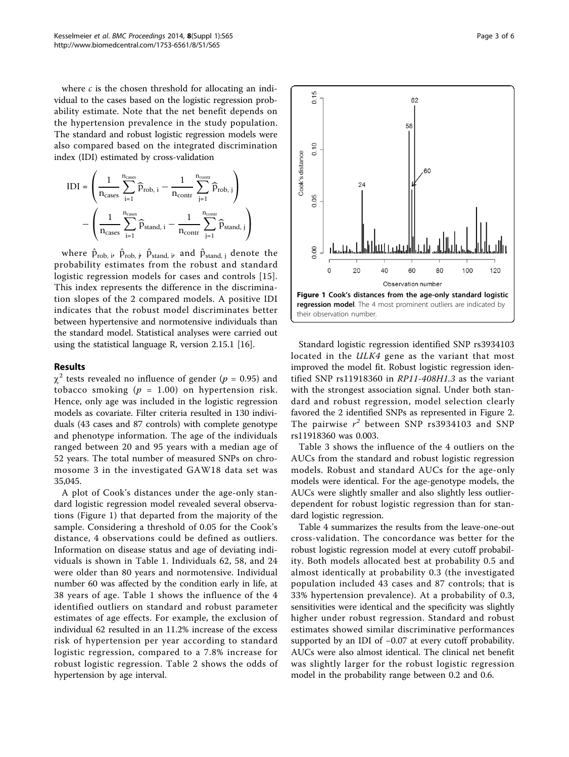where  $c$  is the chosen threshold for allocating an individual to the cases based on the logistic regression probability estimate. Note that the net benefit depends on the hypertension prevalence in the study population. The standard and robust logistic regression models were also compared based on the integrated discrimination index (IDI) estimated by cross-validation

$$
IDI = \left(\frac{1}{n_{cases}}\sum_{i=1}^{n_{cases}} \widehat{p}_{rob, i} - \frac{1}{n_{contr}}\sum_{j=1}^{n_{contr}} \widehat{p}_{rob, j}\right)
$$

$$
-\left(\frac{1}{n_{cases}}\sum_{i=1}^{n_{cases}} \widehat{p}_{stand, i} - \frac{1}{n_{contr}}\sum_{j=1}^{n_{contr}} \widehat{p}_{stand, j}\right)
$$

where  $\hat{\mathbf{p}}_{\text{rob, }\mathbf{i}'}$   $\hat{\mathbf{p}}_{\text{rob, }\mathbf{j}'}$   $\hat{\mathbf{p}}_{\text{stand, }\mathbf{i}}$  and  $\hat{\mathbf{p}}_{\text{stand, }\mathbf{j}}$  denote the probability estimates from the robust and standard logistic regression models for cases and controls [[15\]](#page-5-0). This index represents the difference in the discrimination slopes of the 2 compared models. A positive IDI indicates that the robust model discriminates better between hypertensive and normotensive individuals than the standard model. Statistical analyses were carried out using the statistical language R, version 2.15.1 [[16](#page-5-0)].

#### Results

 $\chi^2$  tests revealed no influence of gender (p = 0.95) and tobacco smoking ( $p = 1.00$ ) on hypertension risk. Hence, only age was included in the logistic regression models as covariate. Filter criteria resulted in 130 individuals (43 cases and 87 controls) with complete genotype and phenotype information. The age of the individuals ranged between 20 and 95 years with a median age of 52 years. The total number of measured SNPs on chromosome 3 in the investigated GAW18 data set was 35,045.

A plot of Cook's distances under the age-only standard logistic regression model revealed several observations (Figure 1) that departed from the majority of the sample. Considering a threshold of 0.05 for the Cook's distance, 4 observations could be defined as outliers. Information on disease status and age of deviating individuals is shown in Table [1](#page-3-0). Individuals 62, 58, and 24 were older than 80 years and normotensive. Individual number 60 was affected by the condition early in life, at 38 years of age. Table [1](#page-3-0) shows the influence of the 4 identified outliers on standard and robust parameter estimates of age effects. For example, the exclusion of individual 62 resulted in an 11.2% increase of the excess risk of hypertension per year according to standard logistic regression, compared to a 7.8% increase for robust logistic regression. Table [2](#page-3-0) shows the odds of hypertension by age interval.



Standard logistic regression identified SNP rs3934103 located in the ULK4 gene as the variant that most improved the model fit. Robust logistic regression identified SNP rs11918360 in RP11-408H1.3 as the variant with the strongest association signal. Under both standard and robust regression, model selection clearly favored the 2 identified SNPs as represented in Figure [2](#page-3-0). The pairwise  $r^2$  between SNP rs3934103 and SNP rs11918360 was 0.003.

Table [3](#page-4-0) shows the influence of the 4 outliers on the AUCs from the standard and robust logistic regression models. Robust and standard AUCs for the age-only models were identical. For the age-genotype models, the AUCs were slightly smaller and also slightly less outlierdependent for robust logistic regression than for standard logistic regression.

Table [4](#page-4-0) summarizes the results from the leave-one-out cross-validation. The concordance was better for the robust logistic regression model at every cutoff probability. Both models allocated best at probability 0.5 and almost identically at probability 0.3 (the investigated population included 43 cases and 87 controls; that is 33% hypertension prevalence). At a probability of 0.3, sensitivities were identical and the specificity was slightly higher under robust regression. Standard and robust estimates showed similar discriminative performances supported by an IDI of −0.07 at every cutoff probability. AUCs were also almost identical. The clinical net benefit was slightly larger for the robust logistic regression model in the probability range between 0.2 and 0.6.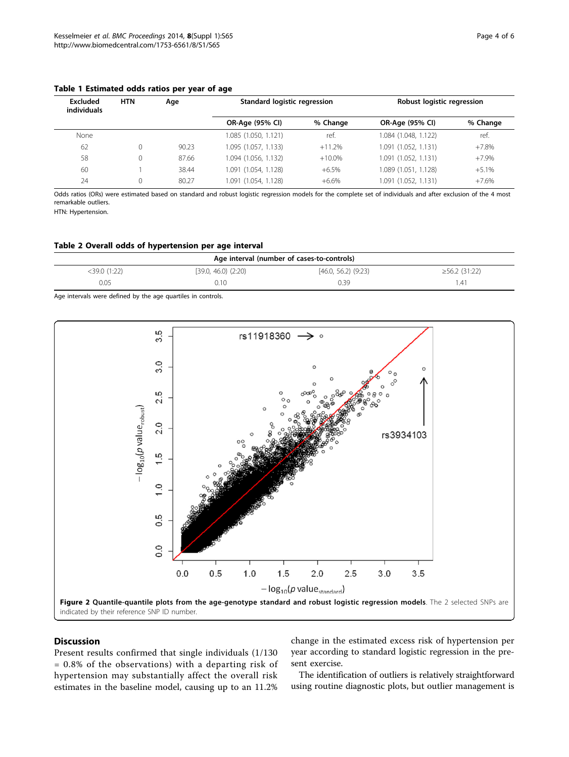| Excluded<br>individuals | <b>HTN</b> | Age   | <b>Standard logistic regression</b> |           | Robust logistic regression |          |  |
|-------------------------|------------|-------|-------------------------------------|-----------|----------------------------|----------|--|
|                         |            |       | OR-Age (95% CI)                     | % Change  | OR-Age (95% CI)            | % Change |  |
| None                    |            |       | 1.085 (1.050, 1.121)                | ref.      | 1.084 (1.048, 1.122)       | ref.     |  |
| 62                      | 0          | 90.23 | 1.095 (1.057, 1.133)                | $+11.2%$  | 1.091 (1.052, 1.131)       | $+7.8%$  |  |
| 58                      | 0          | 87.66 | 1.094 (1.056, 1.132)                | $+10.0\%$ | 1.091 (1.052, 1.131)       | $+7.9%$  |  |
| 60                      |            | 38.44 | 1.091 (1.054, 1.128)                | $+6.5%$   | 1.089 (1.051, 1.128)       | $+5.1%$  |  |
| 24                      | 0          | 80.27 | 1.091 (1.054, 1.128)                | $+6.6%$   | 1.091 (1.052, 1.131)       | $+7.6%$  |  |

#### <span id="page-3-0"></span>Table 1 Estimated odds ratios per year of age

Odds ratios (ORs) were estimated based on standard and robust logistic regression models for the complete set of individuals and after exclusion of the 4 most remarkable outliers.

HTN: Hypertension.

#### Table 2 Overall odds of hypertension per age interval

| Age interval (number of cases-to-controls) |                         |                       |                     |  |  |  |  |
|--------------------------------------------|-------------------------|-----------------------|---------------------|--|--|--|--|
| <39.0 (1:22)                               | $[39.0, 46.0)$ $(2:20)$ | $[46.0, 56.2)$ (9:23) | $\geq 56.2$ (31:22) |  |  |  |  |
| 0.05                                       | 0.10                    | 0.39                  | .41                 |  |  |  |  |

Age intervals were defined by the age quartiles in controls.



#### Discussion

Present results confirmed that single individuals (1/130 = 0.8% of the observations) with a departing risk of hypertension may substantially affect the overall risk estimates in the baseline model, causing up to an 11.2%

change in the estimated excess risk of hypertension per year according to standard logistic regression in the present exercise.

The identification of outliers is relatively straightforward using routine diagnostic plots, but outlier management is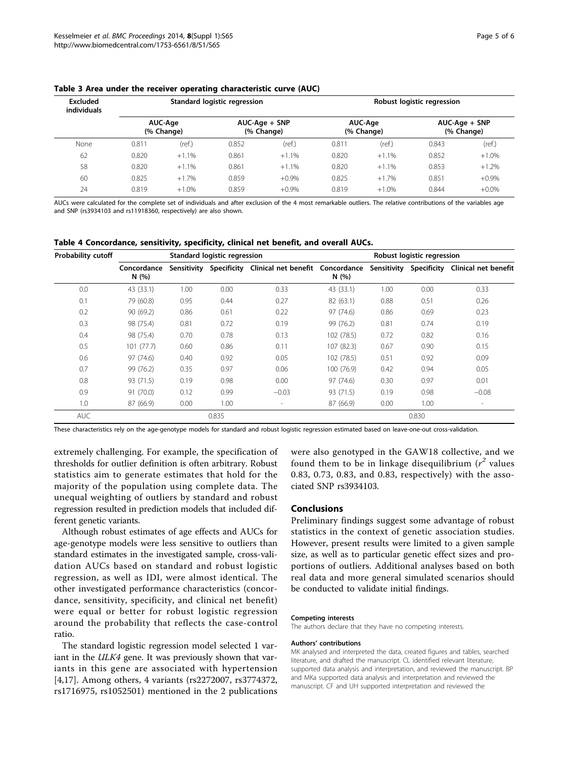| Excluded<br>individuals |                       |         | Standard logistic regression  |         | Robust logistic regression |         |                               |          |  |
|-------------------------|-----------------------|---------|-------------------------------|---------|----------------------------|---------|-------------------------------|----------|--|
|                         | AUC-Age<br>(% Change) |         | $AUC-Aqe + SNP$<br>(% Change) |         | AUC-Age<br>(% Change)      |         | $AUC-Aqe + SNP$<br>(% Change) |          |  |
| None                    | 0.811                 | (ref.)  | 0.852                         | (ref.)  | 0.811                      | (ref.)  | 0.843                         | (ref.)   |  |
| 62                      | 0.820                 | $+1.1%$ | 0.861                         | $+1.1%$ | 0.820                      | $+1.1%$ | 0.852                         | $+1.0%$  |  |
| 58                      | 0.820                 | $+1.1%$ | 0.861                         | $+1.1%$ | 0.820                      | $+1.1%$ | 0.853                         | $+1.2%$  |  |
| 60                      | 0.825                 | $+1.7%$ | 0.859                         | $+0.9%$ | 0.825                      | $+1.7%$ | 0.851                         | $+0.9\%$ |  |
| 24                      | 0.819                 | $+1.0%$ | 0.859                         | $+0.9%$ | 0.819                      | $+1.0%$ | 0.844                         | $+0.0\%$ |  |

<span id="page-4-0"></span>

|  |  |  |  |  |  |  |  | Table 3 Area under the receiver operating characteristic curve (AUC) |  |  |
|--|--|--|--|--|--|--|--|----------------------------------------------------------------------|--|--|
|--|--|--|--|--|--|--|--|----------------------------------------------------------------------|--|--|

AUCs were calculated for the complete set of individuals and after exclusion of the 4 most remarkable outliers. The relative contributions of the variables age and SNP (rs3934103 and rs11918360, respectively) are also shown.

| Table 4 Concordance, sensitivity, specificity, clinical net benefit, and overall AUCs. |  |
|----------------------------------------------------------------------------------------|--|
|----------------------------------------------------------------------------------------|--|

| <b>Probability cutoff</b> |                     |             | Standard logistic regression |                                              | Robust logistic regression |      |                         |                      |
|---------------------------|---------------------|-------------|------------------------------|----------------------------------------------|----------------------------|------|-------------------------|----------------------|
|                           | Concordance<br>N(%) | Sensitivity |                              | Specificity Clinical net benefit Concordance | N(%)                       |      | Sensitivity Specificity | Clinical net benefit |
| 0.0                       | 43 (33.1)           | 1.00        | 0.00                         | 0.33                                         | 43 (33.1)                  | 1.00 | 0.00                    | 0.33                 |
| 0.1                       | 79 (60.8)           | 0.95        | 0.44                         | 0.27                                         | 82 (63.1)                  | 0.88 | 0.51                    | 0.26                 |
| 0.2                       | 90 (69.2)           | 0.86        | 0.61                         | 0.22                                         | 97 (74.6)                  | 0.86 | 0.69                    | 0.23                 |
| 0.3                       | 98 (75.4)           | 0.81        | 0.72                         | 0.19                                         | 99 (76.2)                  | 0.81 | 0.74                    | 0.19                 |
| 0.4                       | 98 (75.4)           | 0.70        | 0.78                         | 0.13                                         | 102 (78.5)                 | 0.72 | 0.82                    | 0.16                 |
| 0.5                       | 101(77.7)           | 0.60        | 0.86                         | 0.11                                         | 107 (82.3)                 | 0.67 | 0.90                    | 0.15                 |
| 0.6                       | 97 (74.6)           | 0.40        | 0.92                         | 0.05                                         | 102 (78.5)                 | 0.51 | 0.92                    | 0.09                 |
| 0.7                       | 99 (76.2)           | 0.35        | 0.97                         | 0.06                                         | 100 (76.9)                 | 0.42 | 0.94                    | 0.05                 |
| 0.8                       | 93 (71.5)           | 0.19        | 0.98                         | 0.00                                         | 97 (74.6)                  | 0.30 | 0.97                    | 0.01                 |
| 0.9                       | 91 (70.0)           | 0.12        | 0.99                         | $-0.03$                                      | 93 (71.5)                  | 0.19 | 0.98                    | $-0.08$              |
| 1.0                       | 87 (66.9)           | 0.00        | 1.00                         | $\overline{\phantom{a}}$                     | 87 (66.9)                  | 0.00 | 1.00                    | $\sim$               |
| <b>AUC</b>                |                     |             | 0.835                        |                                              |                            |      | 0.830                   |                      |

These characteristics rely on the age-genotype models for standard and robust logistic regression estimated based on leave-one-out cross-validation.

extremely challenging. For example, the specification of thresholds for outlier definition is often arbitrary. Robust statistics aim to generate estimates that hold for the majority of the population using complete data. The unequal weighting of outliers by standard and robust regression resulted in prediction models that included different genetic variants.

Although robust estimates of age effects and AUCs for age-genotype models were less sensitive to outliers than standard estimates in the investigated sample, cross-validation AUCs based on standard and robust logistic regression, as well as IDI, were almost identical. The other investigated performance characteristics (concordance, sensitivity, specificity, and clinical net benefit) were equal or better for robust logistic regression around the probability that reflects the case-control ratio.

The standard logistic regression model selected 1 variant in the *ULK4* gene. It was previously shown that variants in this gene are associated with hypertension [[4,17\]](#page-5-0). Among others, 4 variants (rs2272007, rs3774372, rs1716975, rs1052501) mentioned in the 2 publications

were also genotyped in the GAW18 collective, and we found them to be in linkage disequilibrium  $(r^2$  values 0.83, 0.73, 0.83, and 0.83, respectively) with the associated SNP rs3934103.

#### Conclusions

Preliminary findings suggest some advantage of robust statistics in the context of genetic association studies. However, present results were limited to a given sample size, as well as to particular genetic effect sizes and proportions of outliers. Additional analyses based on both real data and more general simulated scenarios should be conducted to validate initial findings.

#### Competing interests

The authors declare that they have no competing interests.

#### Authors' contributions

MK analysed and interpreted the data, created figures and tables, searched literature, and drafted the manuscript. CL identified relevant literature, supported data analysis and interpretation, and reviewed the manuscript. BP and MKa supported data analysis and interpretation and reviewed the manuscript. CF and UH supported interpretation and reviewed the